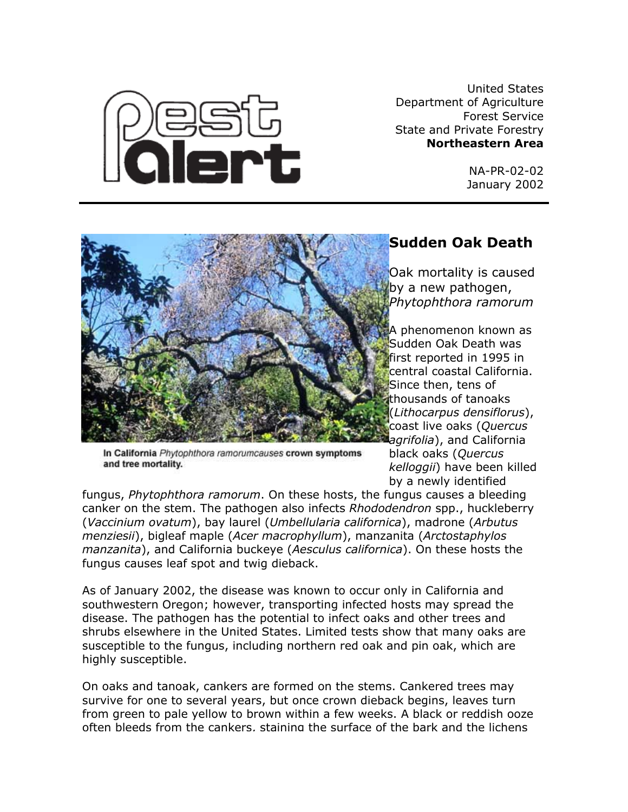United States Department of Agriculture Forest Service State and Private Forestry **Northeastern Area**

> NA-PR-02-02 January 2002





In California Phytophthora ramorumcauses crown symptoms and tree mortality.

## **Sudden Oak Death**

Oak mortality is caused by a new pathogen, *Phytophthora ramorum*

A phenomenon known as Sudden Oak Death was first reported in 1995 in central coastal California. Since then, tens of thousands of tanoaks (*Lithocarpus densiflorus*), coast live oaks (*Quercus agrifolia*), and California

black oaks (*Quercus kelloggii*) have been killed by a newly identified

fungus, *Phytophthora ramorum*. On these hosts, the fungus causes a bleeding canker on the stem. The pathogen also infects *Rhododendron* spp., huckleberry (*Vaccinium ovatum*), bay laurel (*Umbellularia californica*), madrone (*Arbutus menziesii*), bigleaf maple (*Acer macrophyllum*), manzanita (*Arctostaphylos manzanita*), and California buckeye (*Aesculus californica*). On these hosts the fungus causes leaf spot and twig dieback.

As of January 2002, the disease was known to occur only in California and southwestern Oregon; however, transporting infected hosts may spread the disease. The pathogen has the potential to infect oaks and other trees and shrubs elsewhere in the United States. Limited tests show that many oaks are susceptible to the fungus, including northern red oak and pin oak, which are highly susceptible.

On oaks and tanoak, cankers are formed on the stems. Cankered trees may survive for one to several years, but once crown dieback begins, leaves turn from green to pale yellow to brown within a few weeks. A black or reddish ooze often bleeds from the cankers, staining the surface of the bark and the lichens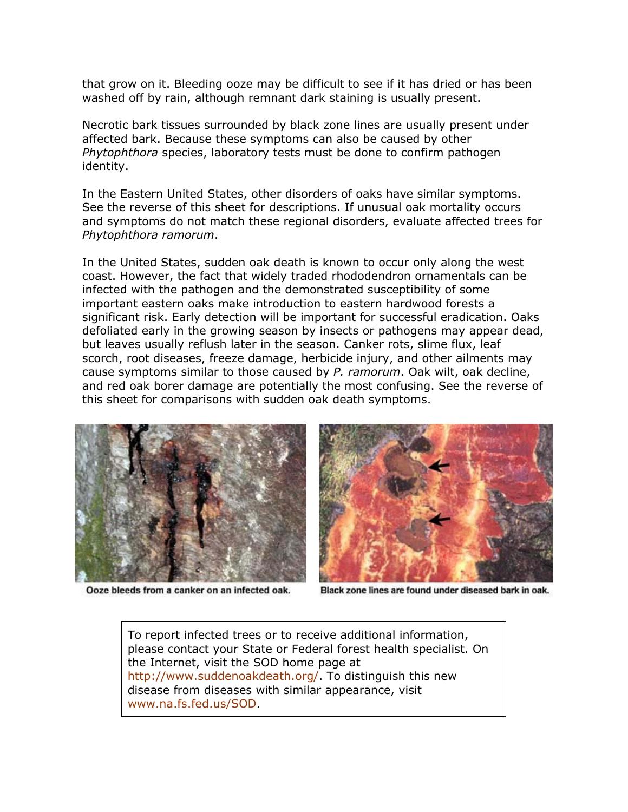that grow on it. Bleeding ooze may be difficult to see if it has dried or has been washed off by rain, although remnant dark staining is usually present.

Necrotic bark tissues surrounded by black zone lines are usually present under affected bark. Because these symptoms can also be caused by other *Phytophthora* species, laboratory tests must be done to confirm pathogen identity.

In the Eastern United States, other disorders of oaks have similar symptoms. See the reverse of this sheet for descriptions. If unusual oak mortality occurs and symptoms do not match these regional disorders, evaluate affected trees for *Phytophthora ramorum*.

In the United States, sudden oak death is known to occur only along the west coast. However, the fact that widely traded rhododendron ornamentals can be infected with the pathogen and the demonstrated susceptibility of some important eastern oaks make introduction to eastern hardwood forests a significant risk. Early detection will be important for successful eradication. Oaks defoliated early in the growing season by insects or pathogens may appear dead, but leaves usually reflush later in the season. Canker rots, slime flux, leaf scorch, root diseases, freeze damage, herbicide injury, and other ailments may cause symptoms similar to those caused by *P. ramorum*. Oak wilt, oak decline, and red oak borer damage are potentially the most confusing. See the reverse of this sheet for comparisons with sudden oak death symptoms.



Ooze bleeds from a canker on an infected oak.



Black zone lines are found under diseased bark in oak.

To report infected trees or to receive additional information, please contact your State or Federal forest health specialist. On the Internet, visit the SOD home page at [http://www.suddenoakdeath.org/.](http://www.suddenoakdeath.org/) To distinguish this new disease from diseases with similar appearance, visit [www.na.fs.fed.us/SOD](http://www.na.fs.fed.us/SOD).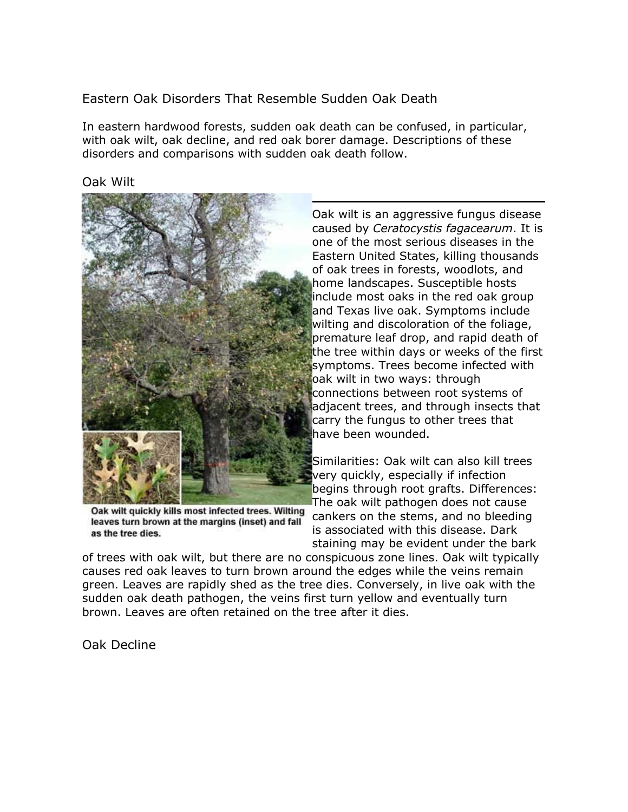Eastern Oak Disorders That Resemble Sudden Oak Death

In eastern hardwood forests, sudden oak death can be confused, in particular, with oak wilt, oak decline, and red oak borer damage. Descriptions of these disorders and comparisons with sudden oak death follow.

Oak Wilt



Oak wilt quickly kills most infected trees. Wilting leaves turn brown at the margins (inset) and fall as the tree dies.

Oak wilt is an aggressive fungus disease caused by *Ceratocystis fagacearum*. It is one of the most serious diseases in the Eastern United States, killing thousands of oak trees in forests, woodlots, and home landscapes. Susceptible hosts include most oaks in the red oak group and Texas live oak. Symptoms include wilting and discoloration of the foliage, premature leaf drop, and rapid death of the tree within days or weeks of the first symptoms. Trees become infected with oak wilt in two ways: through connections between root systems of adjacent trees, and through insects that carry the fungus to other trees that have been wounded.

Similarities: Oak wilt can also kill trees very quickly, especially if infection begins through root grafts. Differences: The oak wilt pathogen does not cause cankers on the stems, and no bleeding is associated with this disease. Dark staining may be evident under the bark

of trees with oak wilt, but there are no conspicuous zone lines. Oak wilt typically causes red oak leaves to turn brown around the edges while the veins remain green. Leaves are rapidly shed as the tree dies. Conversely, in live oak with the sudden oak death pathogen, the veins first turn yellow and eventually turn brown. Leaves are often retained on the tree after it dies.

Oak Decline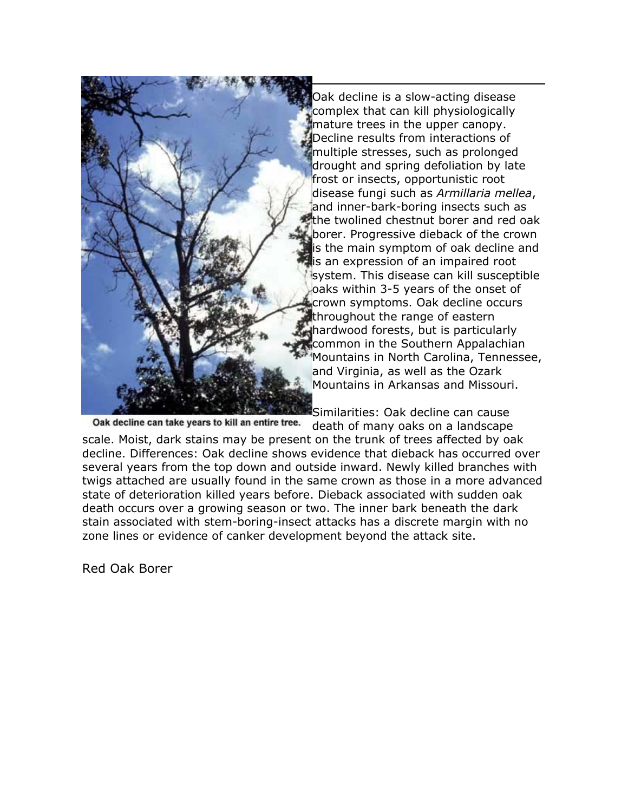

Oak decline is a slow-acting disease complex that can kill physiologically mature trees in the upper canopy. Decline results from interactions of multiple stresses, such as prolonged drought and spring defoliation by late frost or insects, opportunistic root disease fungi such as *Armillaria mellea*, and inner-bark-boring insects such as the twolined chestnut borer and red oak borer. Progressive dieback of the crown is the main symptom of oak decline and is an expression of an impaired root system. This disease can kill susceptible oaks within 3-5 years of the onset of crown symptoms. Oak decline occurs throughout the range of eastern hardwood forests, but is particularly common in the Southern Appalachian Mountains in North Carolina, Tennessee, and Virginia, as well as the Ozark Mountains in Arkansas and Missouri.

Similarities: Oak decline can cause Oak decline can take years to kill an entire tree.

death of many oaks on a landscape scale. Moist, dark stains may be present on the trunk of trees affected by oak decline. Differences: Oak decline shows evidence that dieback has occurred over several years from the top down and outside inward. Newly killed branches with twigs attached are usually found in the same crown as those in a more advanced state of deterioration killed years before. Dieback associated with sudden oak death occurs over a growing season or two. The inner bark beneath the dark stain associated with stem-boring-insect attacks has a discrete margin with no zone lines or evidence of canker development beyond the attack site.

Red Oak Borer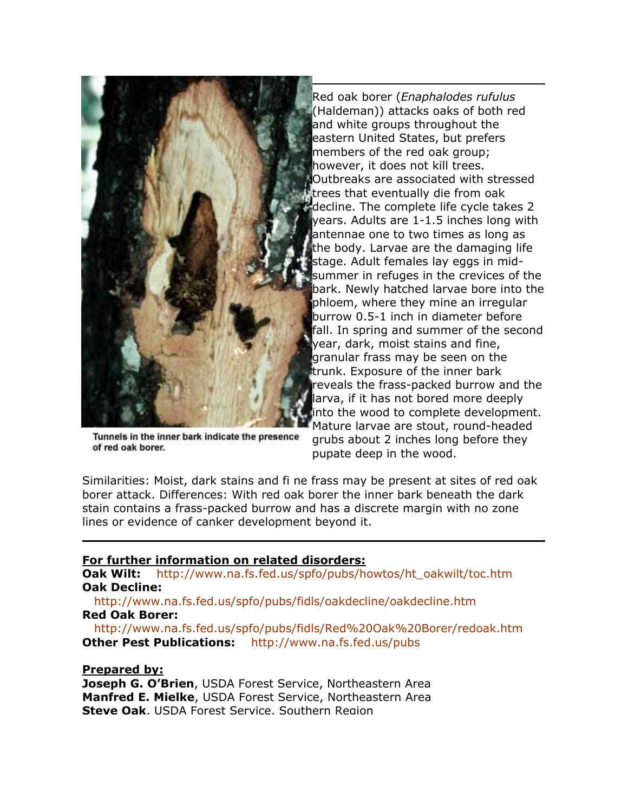

Tunnels in the inner bark indicate the presence of red oak borer.

Red oak borer (*Enaphalodes rufulus* (Haldeman)) attacks oaks of both red and white groups throughout the eastern United States, but prefers members of the red oak group; however, it does not kill trees. Outbreaks are associated with stressed trees that eventually die from oak decline. The complete life cycle takes 2 years. Adults are 1-1.5 inches long with antennae one to two times as long as the body. Larvae are the damaging life stage. Adult females lay eggs in midsummer in refuges in the crevices of the bark. Newly hatched larvae bore into t he phloem, where they mine an irregular burrow 0.5-1 inch in diameter before fall. In spring and summer of the second year, dark, moist stains and fine, granular frass may be seen on the trunk. Exposure of the inner bark reveals the frass-packed burrow and the larva, if it has not bored more deeply into the wood to complete development. Mature larvae are stout, round-headed grubs about 2 inches long before they

pupate deep in the wood.

Similarities: Moist, dark stains and fi ne frass may be present at sites of red oak borer attack. Differences: With red oak borer the inner bark beneath the dark stain contains a frass-packed burrow and has a discrete margin with no zone lines or evidence of canker development beyond it.

## **For further information on related disorders:**

**Oak Wilt:** [http://www.na.fs.fed.us/spfo/pubs/howtos/ht\\_oakwilt/toc.htm](http://www.na.fs.fed.us/spfo/pubs/howtos/ht_oakwilt/toc.htm) **Oak Decline:**

 <http://www.na.fs.fed.us/spfo/pubs/fidls/oakdecline/oakdecline.htm> **Red Oak Borer:** 

 [http://www.na.fs.fed.us/spfo/pubs/fidls/Red%20Oak%20Borer/redoak.htm](http://www.na.fs.fed.us/spfo/pubs/fidls/Red Oak Borer/redoak.htm)  **Other Pest Publications:** <http://www.na.fs.fed.us/pubs>

## **Prepared by:**

**Joseph G. O'Brien**, USDA Forest Service, Northeastern Area **Manfred E. Mielke**, USDA Forest Service, Northeastern Area **Steve Oak, USDA Forest Service, Southern Region**